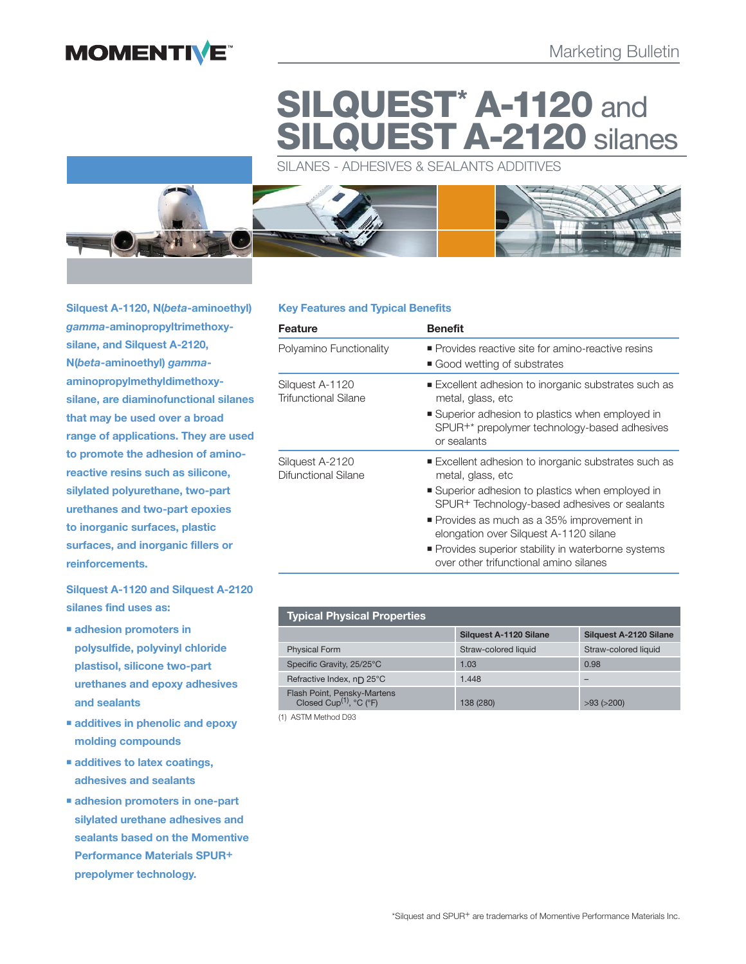

# **SILQUEST\* A-1120** and **CUEST A-2120** silanes

SILANES - ADHESIVES & SEALANTS ADDITIVES



**Silquest A-1120, N(***beta***-aminoethyl)**  *gamma***-aminopropyltrimethoxysilane, and Silquest A-2120, N(***beta***-aminoethyl)** *gamma***aminopropylmethyldimethoxy**silane, are diamino functional silanes **that may be used over a broad range of applications. They are used to promote the adhesion of aminoreactive resins such as silicone, silylated polyurethane, two-part urethanes and two-part epoxies to inorganic surfaces, plastic surfaces, and inorganic fillers or reinforcements.**

**Silquest A-1120 and Silquest A-2120 silanes find uses as:**

- **adhesion promoters in polysulfide, polyvinyl chloride plastisol, silicone two-part urethanes and epoxy adhesives and sealants**
- **additives in phenolic and epoxy molding compounds**
- **additives to latex coatings, adhesives and sealants**
- **adhesion promoters in one-part silylated urethane adhesives and sealants based on the Momentive Performance Materials SPUR+ prepolymer technology.**

# **Key Features and Typical Benefits**

| <b>Feature</b>                                 | <b>Benefit</b>                                                                                                                                                                                                                                                                                                                                                         |  |
|------------------------------------------------|------------------------------------------------------------------------------------------------------------------------------------------------------------------------------------------------------------------------------------------------------------------------------------------------------------------------------------------------------------------------|--|
| Polyamino Functionality                        | • Provides reactive site for amino-reactive resins<br>Good wetting of substrates                                                                                                                                                                                                                                                                                       |  |
| Silguest A-1120<br><b>Trifunctional Silane</b> | ■ Excellent adhesion to inorganic substrates such as<br>metal, glass, etc<br>■ Superior adhesion to plastics when employed in<br>SPUR <sup>+*</sup> prepolymer technology-based adhesives<br>or sealants                                                                                                                                                               |  |
| Silguest A-2120<br>Difunctional Silane         | ■ Excellent adhesion to inorganic substrates such as<br>metal, glass, etc<br>■ Superior adhesion to plastics when employed in<br>SPUR+ Technology-based adhesives or sealants<br>• Provides as much as a 35% improvement in<br>elongation over Silquest A-1120 silane<br>• Provides superior stability in waterborne systems<br>over other trifunctional amino silanes |  |

| <b>Typical Physical Properties</b>                                 |                               |                               |  |
|--------------------------------------------------------------------|-------------------------------|-------------------------------|--|
|                                                                    | <b>Silguest A-1120 Silane</b> | <b>Silguest A-2120 Silane</b> |  |
| <b>Physical Form</b>                                               | Straw-colored liquid          | Straw-colored liquid          |  |
| Specific Gravity, 25/25°C                                          | 1.03                          | 0.98                          |  |
| Pefractive Index, nn 25°C                                          | 1.448                         |                               |  |
| Flash Point, Pensky-Martens<br>Closed Cup <sup>(1)</sup> , °C (°F) | 138 (280)                     | $>93$ ( $>200$ )              |  |

(1) ASTM Method D93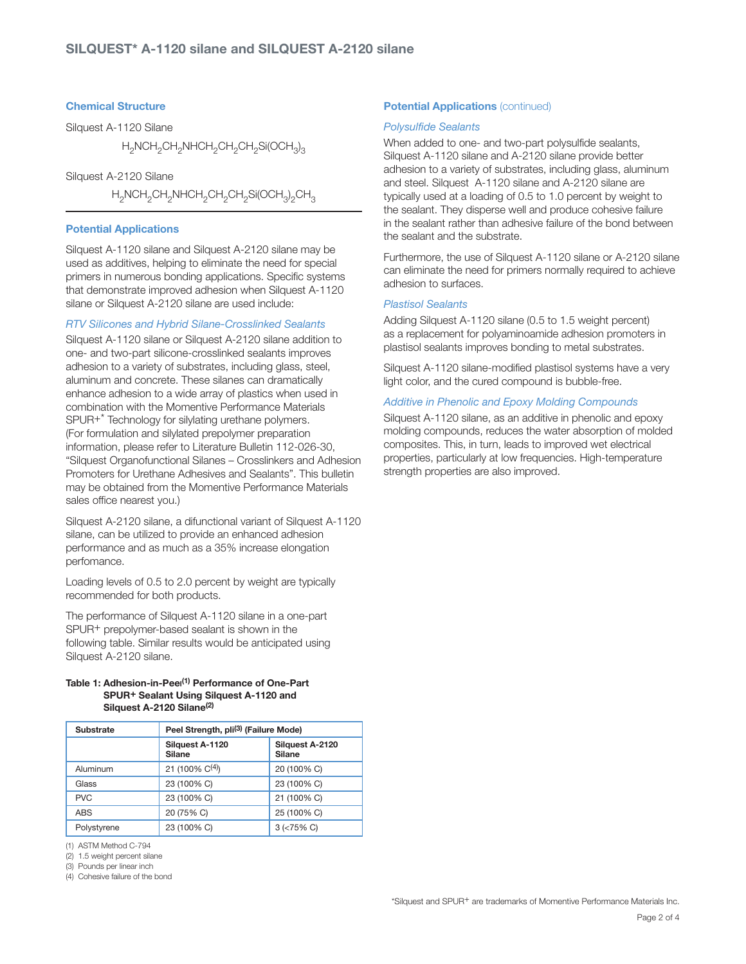# **Chemical Structure**

Silquest A-1120 Silane

 $\rm H_2NCH_2CH_2NHCH_2CH_2CH_2Si(OCH_3)_3$ 

Silquest A-2120 Silane

 $\rm H_2$ NCH $_2$ CH $_2$ NHCH $_2$ CH $_2$ CH $_2$ Si(OCH $_3$ ) $_2$ CH $_3$ 

## **Potential Applications**

Silquest A-1120 silane and Silquest A-2120 silane may be used as additives, helping to eliminate the need for special primers in numerous bonding applications. Specific systems that demonstrate improved adhesion when Silquest A-1120 silane or Silquest A-2120 silane are used include:

## RTV Silicones and Hybrid Silane-Crosslinked Sealants

Silquest A-1120 silane or Silquest A-2120 silane addition to one- and two-part silicone-crosslinked sealants improves adhesion to a variety of substrates, including glass, steel, aluminum and concrete. These silanes can dramatically enhance adhesion to a wide array of plastics when used in combination with the Momentive Performance Materials SPUR+\* Technology for silylating urethane polymers. (For formulation and silylated prepolymer preparation information, please refer to Literature Bulletin 112-026-30, "Silquest Organofunctional Silanes – Crosslinkers and Adhesion Promoters for Urethane Adhesives and Sealants". This bulletin may be obtained from the Momentive Performance Materials sales office nearest you.)

Silquest A-2120 silane, a difunctional variant of Silquest A-1120 silane, can be utilized to provide an enhanced adhesion performance and as much as a 35% increase elongation perfomance.

Loading levels of 0.5 to 2.0 percent by weight are typically recommended for both products.

The performance of Silquest A-1120 silane in a one-part SPUR+ prepolymer-based sealant is shown in the following table. Similar results would be anticipated using Silquest A-2120 silane.

## **Table 1: Adhesion-in-Peel (1) Performance of One-Part SPUR+ Sealant Using Silquest A-1120 and Silquest A-2120 Silane(2)**

| <b>Substrate</b> | Peel Strength, pli <sup>(3)</sup> (Failure Mode) |                                  |  |
|------------------|--------------------------------------------------|----------------------------------|--|
|                  | Silguest A-1120<br><b>Silane</b>                 | Silquest A-2120<br><b>Silane</b> |  |
| Aluminum         | 21 (100% $C^{(4)}$ )                             | 20 (100% C)                      |  |
| Glass            | 23 (100% C)                                      | 23 (100% C)                      |  |
| <b>PVC</b>       | 23 (100% C)                                      | 21 (100% C)                      |  |
| <b>ABS</b>       | 20 (75% C)                                       | 25 (100% C)                      |  |
| Polystyrene      | 23 (100% C)                                      | $3$ ( $< 75\%$ C)                |  |

(1) ASTM Method C-794

(2) 1.5 weight percent silane

(3) Pounds per linear inch

(4) Cohesive failure of the bond

# **Potential Applications (continued)**

## Polysulfide Sealants

When added to one- and two-part polysulfide sealants, Silquest A-1120 silane and A-2120 silane provide better adhesion to a variety of substrates, including glass, aluminum and steel. Silquest A-1120 silane and A-2120 silane are typically used at a loading of 0.5 to 1.0 percent by weight to the sealant. They disperse well and produce cohesive failure in the sealant rather than adhesive failure of the bond between the sealant and the substrate.

Furthermore, the use of Silquest A-1120 silane or A-2120 silane can eliminate the need for primers normally required to achieve adhesion to surfaces.

## Plastisol Sealants

Adding Silquest A-1120 silane (0.5 to 1.5 weight percent) as a replacement for polyamino amide adhesion promoters in plastisol sealants improves bonding to metal substrates.

Silquest A-1120 silane-modified plastisol systems have a very light color, and the cured compound is bubble-free.

# Additive in Phenolic and Epoxy Molding Compounds

Silquest A-1120 silane, as an additive in phenolic and epoxy molding compounds, reduces the water absorption of molded composites. This, in turn, leads to improved wet electrical properties, particularly at low frequencies. High-temperature strength properties are also improved.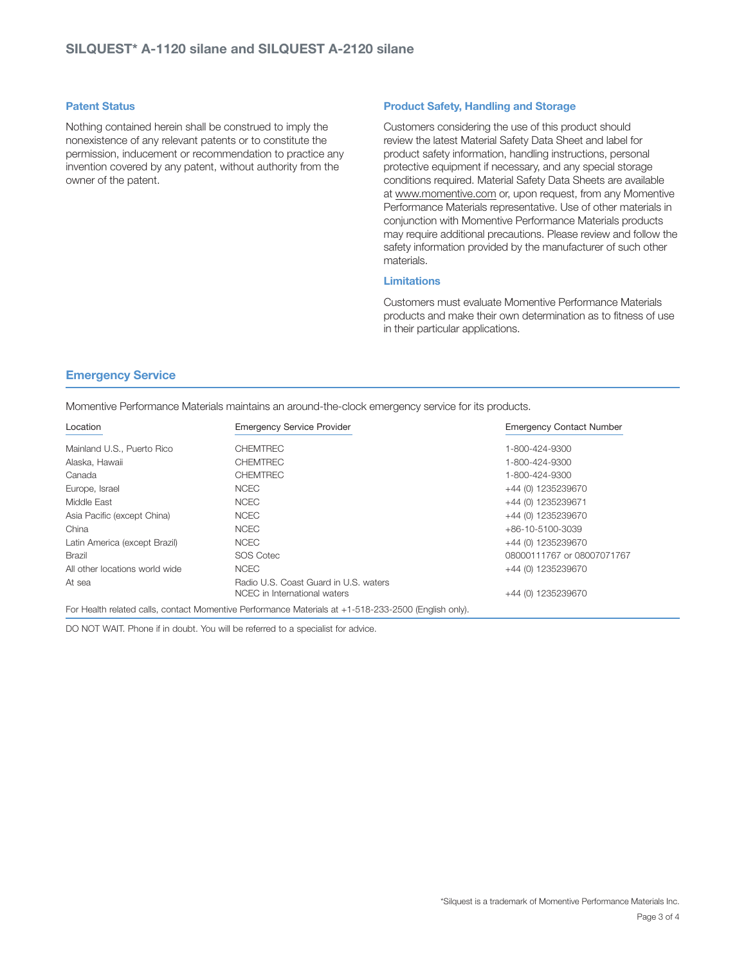## **Patent Status**

Nothing contained herein shall be construed to imply the nonexistence of any relevant patents or to constitute the permission, inducement or recommendation to practice any invention covered by any patent, without authority from the owner of the patent.

## **Product Safety, Handling and Storage**

Customers considering the use of this product should review the latest Material Safety Data Sheet and label for product safety information, handling instructions, personal protective equipment if necessary, and any special storage conditions required. Material Safety Data Sheets are available at www.momentive.com or, upon request, from any Momentive Performance Materials representative. Use of other materials in conjunction with Momentive Performance Materials products may require additional precautions. Please review and follow the safety information provided by the manufacturer of such other materials.

# **Limitations**

Customers must evaluate Momentive Performance Materials products and make their own determination as to fitness of use in their particular applications.

# **Emergency Service**

Momentive Performance Materials maintains an around-the-clock emergency service for its products.

| Location                       | <b>Emergency Service Provider</b>                                                                    | <b>Emergency Contact Number</b> |
|--------------------------------|------------------------------------------------------------------------------------------------------|---------------------------------|
| Mainland U.S., Puerto Rico     | <b>CHEMTREC</b>                                                                                      | 1-800-424-9300                  |
| Alaska, Hawaii                 | <b>CHEMTREC</b>                                                                                      | 1-800-424-9300                  |
| Canada                         | <b>CHEMTREC</b>                                                                                      | 1-800-424-9300                  |
| Europe, Israel                 | <b>NCEC</b>                                                                                          | +44 (0) 1235239670              |
| Middle East                    | <b>NCEC</b>                                                                                          | +44 (0) 1235239671              |
| Asia Pacific (except China)    | <b>NCEC</b>                                                                                          | +44 (0) 1235239670              |
| China                          | <b>NCEC</b>                                                                                          | +86-10-5100-3039                |
| Latin America (except Brazil)  | <b>NCEC</b>                                                                                          | +44 (0) 1235239670              |
| Brazil                         | SOS Cotec                                                                                            | 08000111767 or 08007071767      |
| All other locations world wide | <b>NCEC</b>                                                                                          | +44 (0) 1235239670              |
| At sea                         | Radio U.S. Coast Guard in U.S. waters<br>NCEC in International waters                                | +44 (0) 1235239670              |
|                                | For Health related calls, contact Momentive Performance Materials at +1-518-233-2500 (English only). |                                 |

DO NOT WAIT. Phone if in doubt. You will be referred to a specialist for advice.